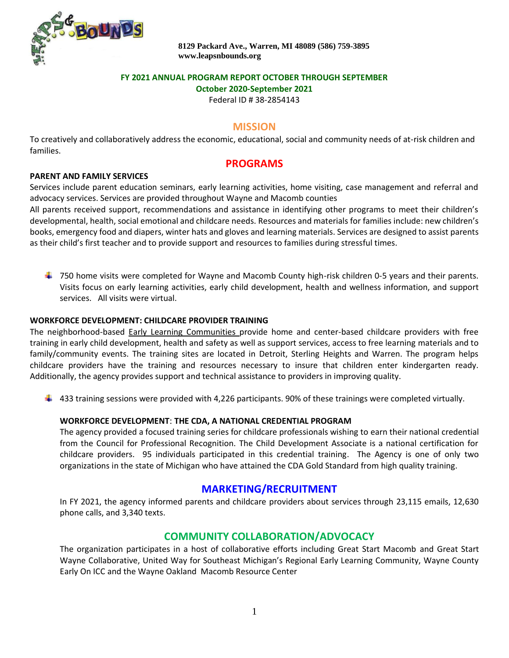

 **8129 Packard Ave., Warren, MI 48089 (586) 759-3895 [www.leapsnbounds.org](about:blank)**

### **FY 2021 ANNUAL PROGRAM REPORT OCTOBER THROUGH SEPTEMBER**

**October 2020-September 2021**

Federal ID # 38-2854143

### **MISSION**

To creatively and collaboratively address the economic, educational, social and community needs of at-risk children and families.

# **PROGRAMS**

#### **PARENT AND FAMILY SERVICES**

Services include parent education seminars, early learning activities, home visiting, case management and referral and advocacy services. Services are provided throughout Wayne and Macomb counties

All parents received support, recommendations and assistance in identifying other programs to meet their children's developmental, health, social emotional and childcare needs. Resources and materials for families include: new children's books, emergency food and diapers, winter hats and gloves and learning materials. Services are designed to assist parents as their child's first teacher and to provide support and resources to families during stressful times.

 $\ddot{\phantom{1}}$  750 home visits were completed for Wayne and Macomb County high-risk children 0-5 years and their parents. Visits focus on early learning activities, early child development, health and wellness information, and support services. All visits were virtual.

#### **WORKFORCE DEVELOPMENT: CHILDCARE PROVIDER TRAINING**

The neighborhood-based Early Learning Communities provide home and center-based childcare providers with free training in early child development, health and safety as well as support services, access to free learning materials and to family/community events. The training sites are located in Detroit, Sterling Heights and Warren. The program helps childcare providers have the training and resources necessary to insure that children enter kindergarten ready. Additionally, the agency provides support and technical assistance to providers in improving quality.

 $\ddot{+}$  433 training sessions were provided with 4,226 participants. 90% of these trainings were completed virtually.

#### **WORKFORCE DEVELOPMENT**: **THE CDA, A NATIONAL CREDENTIAL PROGRAM**

The agency provided a focused training series for childcare professionals wishing to earn their national credential from the Council for Professional Recognition. The Child Development Associate is a national certification for childcare providers. 95 individuals participated in this credential training. The Agency is one of only two organizations in the state of Michigan who have attained the CDA Gold Standard from high quality training.

# **MARKETING/RECRUITMENT**

In FY 2021, the agency informed parents and childcare providers about services through 23,115 emails, 12,630 phone calls, and 3,340 texts.

## **COMMUNITY COLLABORATION/ADVOCACY**

The organization participates in a host of collaborative efforts including Great Start Macomb and Great Start Wayne Collaborative, United Way for Southeast Michigan's Regional Early Learning Community, Wayne County Early On ICC and the Wayne Oakland Macomb Resource Center